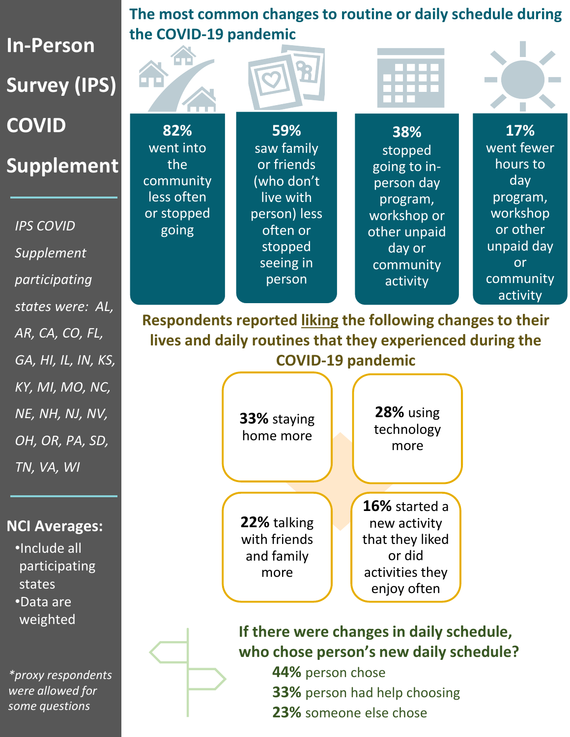**In-Person Survey (IPS) COVID Supplement**

*IPS COVID Supplement participating states were: AL, AR, CA, CO, FL, GA, HI, IL, IN, KS, KY, MI, MO, NC, NE, NH, NJ, NV, OH, OR, PA, SD, TN, VA, WI*

## **NCI Averages:**

•Include all participating states •Data are weighted

*\*proxy respondents were allowed for some questions*

**The most common changes to routine or daily schedule during the COVID-19 pandemic**